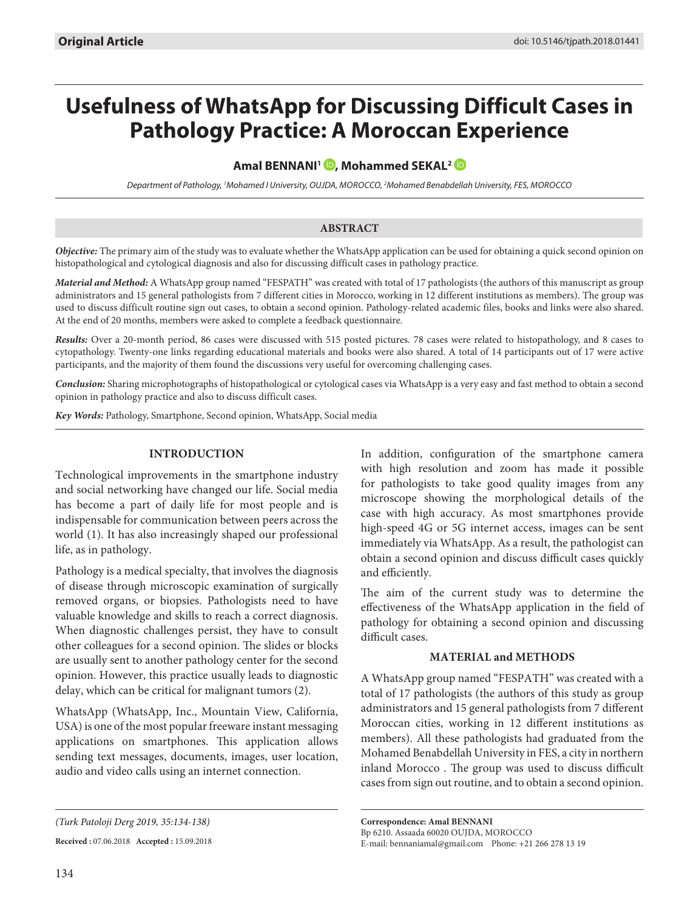# **Usefulness of WhatsApp for Discussing Difficult Cases in Pathology Practice: A Moroccan Experience**

# **Amal BENNANI<sup>1</sup> <b>D**, Mohammed SEKAL<sup>2</sup> **D**

*Department of Pathology, 1 Mohamed I University, OUJDA, MOROCCO, 2 Mohamed Benabdellah University, FES, MOROCCO*

# **ABSTRACT**

*Objective:* The primary aim of the study was to evaluate whether the WhatsApp application can be used for obtaining a quick second opinion on histopathological and cytological diagnosis and also for discussing difficult cases in pathology practice.

*Material and Method:* A WhatsApp group named "FESPATH" was created with total of 17 pathologists (the authors of this manuscript as group administrators and 15 general pathologists from 7 different cities in Morocco, working in 12 different institutions as members). The group was used to discuss difficult routine sign out cases, to obtain a second opinion. Pathology-related academic files, books and links were also shared. At the end of 20 months, members were asked to complete a feedback questionnaire.

*Results:* Over a 20-month period, 86 cases were discussed with 515 posted pictures. 78 cases were related to histopathology, and 8 cases to cytopathology. Twenty-one links regarding educational materials and books were also shared. A total of 14 participants out of 17 were active participants, and the majority of them found the discussions very useful for overcoming challenging cases.

*Conclusion:* Sharing microphotographs of histopathological or cytological cases via WhatsApp is a very easy and fast method to obtain a second opinion in pathology practice and also to discuss difficult cases.

*Key Words:* Pathology, Smartphone, Second opinion, WhatsApp, Social media

# **INTRODUCTION**

Technological improvements in the smartphone industry and social networking have changed our life. Social media has become a part of daily life for most people and is indispensable for communication between peers across the world (1). It has also increasingly shaped our professional life, as in pathology.

Pathology is a medical specialty, that involves the diagnosis of disease through microscopic examination of surgically removed organs, or biopsies. Pathologists need to have valuable knowledge and skills to reach a correct diagnosis. When diagnostic challenges persist, they have to consult other colleagues for a second opinion. The slides or blocks are usually sent to another pathology center for the second opinion. However, this practice usually leads to diagnostic delay, which can be critical for malignant tumors (2).

WhatsApp (WhatsApp, Inc., Mountain View, California, USA) is one of the most popular freeware instant messaging applications on smartphones. This application allows sending text messages, documents, images, user location, audio and video calls using an internet connection.

**Received :** 07.06.2018 **Accepted :** 15.09.2018

In addition, configuration of the smartphone camera with high resolution and zoom has made it possible for pathologists to take good quality images from any microscope showing the morphological details of the case with high accuracy. As most smartphones provide high-speed 4G or 5G internet access, images can be sent immediately via WhatsApp. As a result, the pathologist can obtain a second opinion and discuss difficult cases quickly and efficiently.

The aim of the current study was to determine the effectiveness of the WhatsApp application in the field of pathology for obtaining a second opinion and discussing difficult cases.

## **MATERIAL and METHODS**

A WhatsApp group named "FESPATH" was created with a total of 17 pathologists (the authors of this study as group administrators and 15 general pathologists from 7 different Moroccan cities, working in 12 different institutions as members). All these pathologists had graduated from the Mohamed Benabdellah University in FES, a city in northern inland Morocco . The group was used to discuss difficult cases from sign out routine, and to obtain a second opinion.

**Correspondence: Amal BENNANI**  Bp 6210. Assaada 60020 OUJDA, MOROCCO E-mail: bennaniamal@gmail.com Phone: +21 266 278 13 19

*<sup>(</sup>Turk Patoloji Derg 2019, 35:134-138)*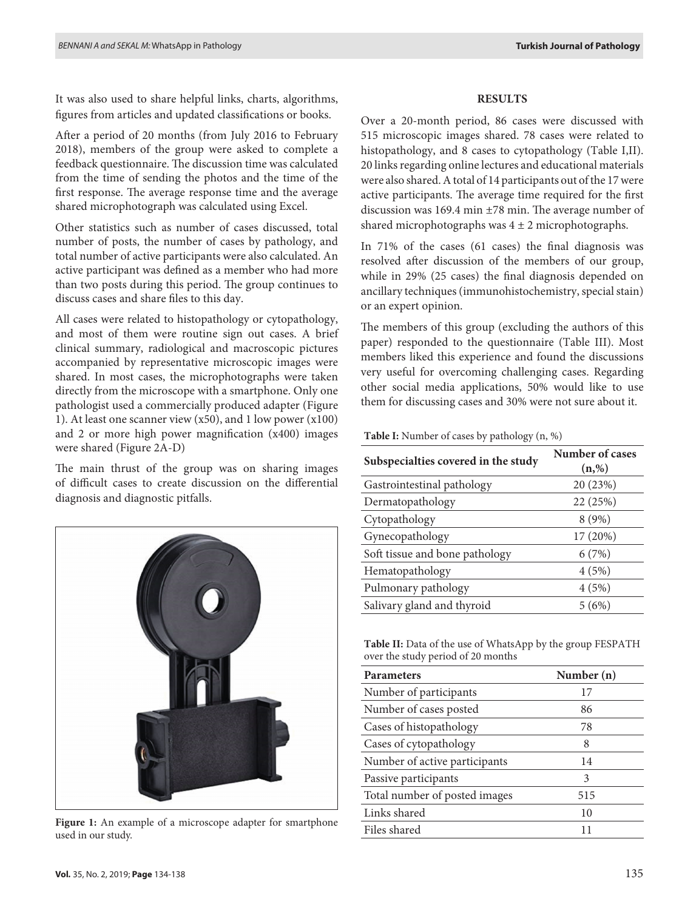It was also used to share helpful links, charts, algorithms, figures from articles and updated classifications or books.

After a period of 20 months (from July 2016 to February 2018), members of the group were asked to complete a feedback questionnaire. The discussion time was calculated from the time of sending the photos and the time of the first response. The average response time and the average shared microphotograph was calculated using Excel.

Other statistics such as number of cases discussed, total number of posts, the number of cases by pathology, and total number of active participants were also calculated. An active participant was defined as a member who had more than two posts during this period. The group continues to discuss cases and share files to this day.

All cases were related to histopathology or cytopathology, and most of them were routine sign out cases. A brief clinical summary, radiological and macroscopic pictures accompanied by representative microscopic images were shared. In most cases, the microphotographs were taken directly from the microscope with a smartphone. Only one pathologist used a commercially produced adapter (Figure 1). At least one scanner view (x50), and 1 low power (x100) and 2 or more high power magnification (x400) images were shared (Figure 2A-D)

The main thrust of the group was on sharing images of difficult cases to create discussion on the differential diagnosis and diagnostic pitfalls.



**Figure 1:** An example of a microscope adapter for smartphone used in our study.

#### **RESULTS**

Over a 20-month period, 86 cases were discussed with 515 microscopic images shared. 78 cases were related to histopathology, and 8 cases to cytopathology (Table I,II). 20 links regarding online lectures and educational materials were also shared. A total of 14 participants out of the 17 were active participants. The average time required for the first discussion was 169.4 min ±78 min. The average number of shared microphotographs was  $4 \pm 2$  microphotographs.

In 71% of the cases (61 cases) the final diagnosis was resolved after discussion of the members of our group, while in 29% (25 cases) the final diagnosis depended on ancillary techniques (immunohistochemistry, special stain) or an expert opinion.

The members of this group (excluding the authors of this paper) responded to the questionnaire (Table III). Most members liked this experience and found the discussions very useful for overcoming challenging cases. Regarding other social media applications, 50% would like to use them for discussing cases and 30% were not sure about it.

**Table I:** Number of cases by pathology (n, %)

| Subspecialties covered in the study | Number of cases<br>(n, %) |
|-------------------------------------|---------------------------|
| Gastrointestinal pathology          | 20 (23%)                  |
| Dermatopathology                    | 22 (25%)                  |
| Cytopathology                       | 8(9%)                     |
| Gynecopathology                     | 17 (20%)                  |
| Soft tissue and bone pathology      | 6(7%)                     |
| Hematopathology                     | 4(5%)                     |
| Pulmonary pathology                 | 4(5%)                     |
| Salivary gland and thyroid          | 5(6%)                     |

**Table II:** Data of the use of WhatsApp by the group FESPATH over the study period of 20 months

| <b>Parameters</b>             | Number (n) |
|-------------------------------|------------|
| Number of participants        | 17         |
| Number of cases posted        | 86         |
| Cases of histopathology       | 78         |
| Cases of cytopathology        | 8          |
| Number of active participants | 14         |
| Passive participants          | 3          |
| Total number of posted images | 515        |
| Links shared                  | 10         |
| Files shared                  |            |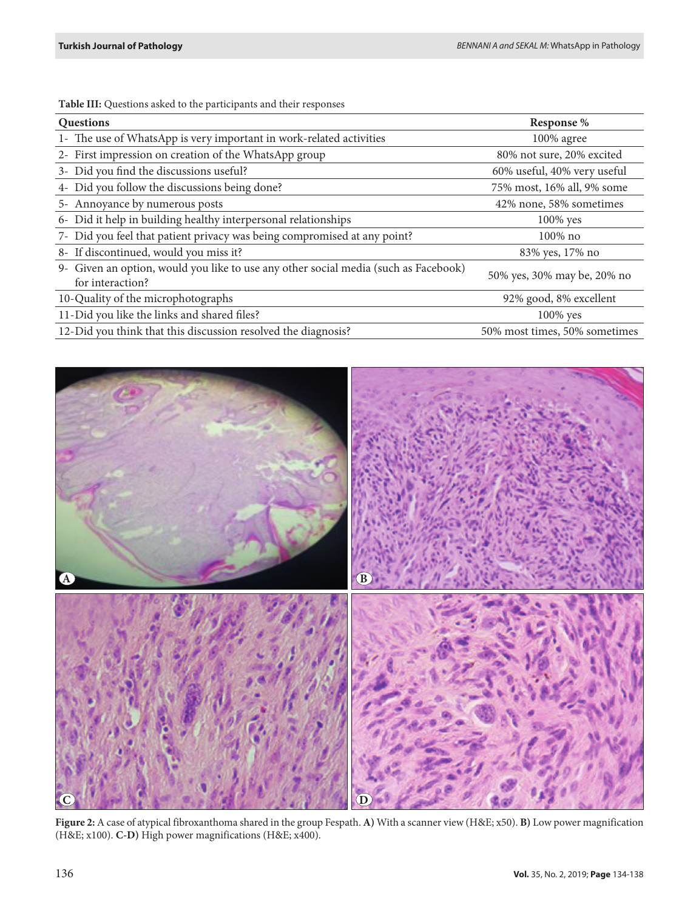**Table III:** Questions asked to the participants and their responses

| Questions                                                                                               | Response %                    |
|---------------------------------------------------------------------------------------------------------|-------------------------------|
| 1- The use of WhatsApp is very important in work-related activities                                     | 100% agree                    |
| 2- First impression on creation of the WhatsApp group                                                   | 80% not sure, 20% excited     |
| 3- Did you find the discussions useful?                                                                 | 60% useful, 40% very useful   |
| 4- Did you follow the discussions being done?                                                           | 75% most, 16% all, 9% some    |
| 5- Annoyance by numerous posts                                                                          | 42% none, 58% sometimes       |
| 6- Did it help in building healthy interpersonal relationships                                          | $100\%$ yes                   |
| 7- Did you feel that patient privacy was being compromised at any point?                                | $100\%$ no                    |
| 8- If discontinued, would you miss it?                                                                  | 83% yes, 17% no               |
| 9- Given an option, would you like to use any other social media (such as Facebook)<br>for interaction? | 50% yes, 30% may be, 20% no   |
| 10-Quality of the microphotographs                                                                      | 92% good, 8% excellent        |
| 11-Did you like the links and shared files?                                                             | $100\%$ yes                   |
| 12-Did you think that this discussion resolved the diagnosis?                                           | 50% most times, 50% sometimes |



**Figure 2:** A case of atypical fibroxanthoma shared in the group Fespath. **A)** With a scanner view (H&E; x50). **B)** Low power magnification (H&E; x100). **C-D)** High power magnifications (H&E; x400).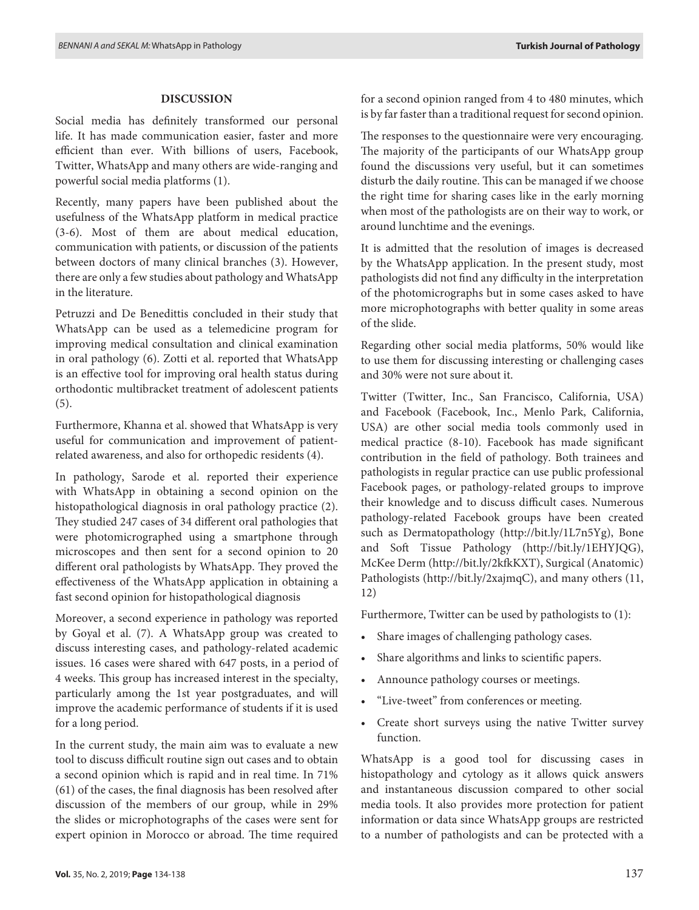#### **DISCUSSION**

Social media has definitely transformed our personal life. It has made communication easier, faster and more efficient than ever. With billions of users, Facebook, Twitter, WhatsApp and many others are wide-ranging and powerful social media platforms (1).

Recently, many papers have been published about the usefulness of the WhatsApp platform in medical practice (3-6). Most of them are about medical education, communication with patients, or discussion of the patients between doctors of many clinical branches (3). However, there are only a few studies about pathology and WhatsApp in the literature.

Petruzzi and De Benedittis concluded in their study that WhatsApp can be used as a telemedicine program for improving medical consultation and clinical examination in oral pathology (6). Zotti et al. reported that WhatsApp is an effective tool for improving oral health status during orthodontic multibracket treatment of adolescent patients (5).

Furthermore, Khanna et al. showed that WhatsApp is very useful for communication and improvement of patientrelated awareness, and also for orthopedic residents (4).

In pathology, Sarode et al. reported their experience with WhatsApp in obtaining a second opinion on the histopathological diagnosis in oral pathology practice (2). They studied 247 cases of 34 different oral pathologies that were photomicrographed using a smartphone through microscopes and then sent for a second opinion to 20 different oral pathologists by WhatsApp. They proved the effectiveness of the WhatsApp application in obtaining a fast second opinion for histopathological diagnosis

Moreover, a second experience in pathology was reported by Goyal et al. (7). A WhatsApp group was created to discuss interesting cases, and pathology-related academic issues. 16 cases were shared with 647 posts, in a period of 4 weeks. This group has increased interest in the specialty, particularly among the 1st year postgraduates, and will improve the academic performance of students if it is used for a long period.

In the current study, the main aim was to evaluate a new tool to discuss difficult routine sign out cases and to obtain a second opinion which is rapid and in real time. In 71% (61) of the cases, the final diagnosis has been resolved after discussion of the members of our group, while in 29% the slides or microphotographs of the cases were sent for expert opinion in Morocco or abroad. The time required

for a second opinion ranged from 4 to 480 minutes, which is by far faster than a traditional request for second opinion.

The responses to the questionnaire were very encouraging. The majority of the participants of our WhatsApp group found the discussions very useful, but it can sometimes disturb the daily routine. This can be managed if we choose the right time for sharing cases like in the early morning when most of the pathologists are on their way to work, or around lunchtime and the evenings.

It is admitted that the resolution of images is decreased by the WhatsApp application. In the present study, most pathologists did not find any difficulty in the interpretation of the photomicrographs but in some cases asked to have more microphotographs with better quality in some areas of the slide.

Regarding other social media platforms, 50% would like to use them for discussing interesting or challenging cases and 30% were not sure about it.

Twitter (Twitter, Inc., San Francisco, California, USA) and Facebook (Facebook, Inc., Menlo Park, California, USA) are other social media tools commonly used in medical practice (8-10). Facebook has made significant contribution in the field of pathology. Both trainees and pathologists in regular practice can use public professional Facebook pages, or pathology-related groups to improve their knowledge and to discuss difficult cases. Numerous pathology-related Facebook groups have been created such as Dermatopathology (http://bit.ly/1L7n5Yg), Bone and Soft Tissue Pathology (http://bit.ly/1EHYJQG), McKee Derm (http://bit.ly/2kfkKXT), Surgical (Anatomic) Pathologists (http://bit.ly/2xajmqC), and many others (11, 12)

Furthermore, Twitter can be used by pathologists to (1):

- Share images of challenging pathology cases.
- Share algorithms and links to scientific papers.
- Announce pathology courses or meetings.
- "Live-tweet" from conferences or meeting.
- Create short surveys using the native Twitter survey function.

WhatsApp is a good tool for discussing cases in histopathology and cytology as it allows quick answers and instantaneous discussion compared to other social media tools. It also provides more protection for patient information or data since WhatsApp groups are restricted to a number of pathologists and can be protected with a